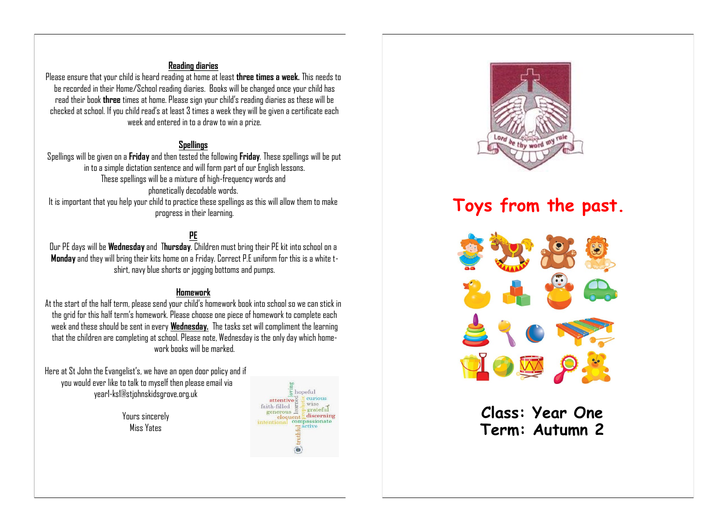#### **Reading diaries**

Please ensure that your child is heard reading at home at least **three times a week.** This needs to be recorded in their Home/School reading diaries. Books will be changed once your child has read their book **three** times at home. Please sign your child's reading diaries as these will be checked at school. If you child read's at least 3 times a week they will be given a certificate each week and entered in to a draw to win a prize.

#### **Spellings**

Spellings will be given on a **Friday** and then tested the following **Friday**. These spellings will be put in to a simple dictation sentence and will form part of our English lessons. These spellings will be a mixture of high-frequency words and phonetically decodable words. It is important that you help your child to practice these spellings as this will allow them to make progress in their learning.

## **PE**

Our PE days will be **Wednesday** and T**hursday**. Children must bring their PE kit into school on a **Monday** and they will bring their kits home on a Friday. Correct P.E uniform for this is a white tshirt, navy blue shorts or jogging bottoms and pumps.

#### **Homework**

At the start of the half term, please send your child's homework book into school so we can stick in the grid for this half term's homework. Please choose one piece of homework to complete each week and these should be sent in every **Wednesday.** The tasks set will compliment the learning that the children are completing at school. Please note, Wednesday is the only day which homework books will be marked.

Here at St John the Evangelist's, we have an open door policy and if you would ever like to talk to myself then please email via year1-ks1@stjohnskidsgrove.org.uk

> Yours sincerely Miss Yates





# **Toys from the past.**



**Class: Year One Term: Autumn 2**